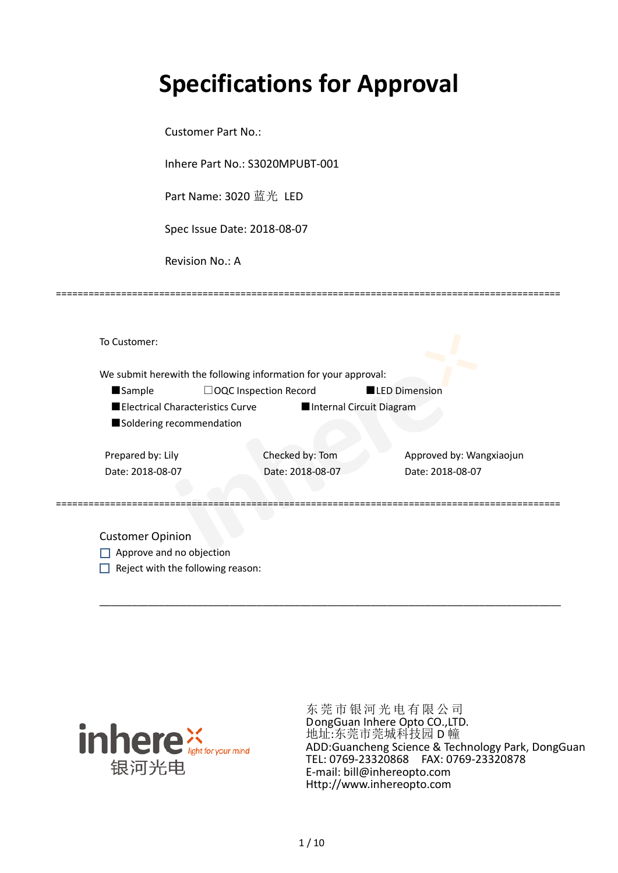# **Specifications for Approval**

Customer Part No.:

Inhere Part No.: S3020MPUBT-001

Part Name: 3020 蓝光 LED

Spec Issue Date: 2018-08-07

Revision No.: A

| To Customer:             |                                  |                                                                 |                          |
|--------------------------|----------------------------------|-----------------------------------------------------------------|--------------------------|
|                          |                                  | We submit herewith the following information for your approval: |                          |
| <b>Sample</b>            |                                  | $\Box$ OQC Inspection Record                                    | <b>LED Dimension</b>     |
|                          | Electrical Characteristics Curve | Internal Circuit Diagram                                        |                          |
| Soldering recommendation |                                  |                                                                 |                          |
|                          |                                  |                                                                 |                          |
| Prepared by: Lily        |                                  | Checked by: Tom                                                 | Approved by: Wangxiaojun |
| Date: 2018-08-07         |                                  | Date: 2018-08-07                                                | Date: 2018-08-07         |
|                          |                                  |                                                                 |                          |
|                          |                                  |                                                                 |                          |
|                          |                                  |                                                                 |                          |
| <b>Customer Opinion</b>  |                                  |                                                                 |                          |

\_\_\_\_\_\_\_\_\_\_\_\_\_\_\_\_\_\_\_\_\_\_\_\_\_\_\_\_\_\_\_\_\_\_\_\_\_\_\_\_\_\_\_\_\_\_\_\_\_\_\_\_\_\_\_\_\_\_\_\_\_\_\_\_\_\_\_\_\_\_\_\_\_\_\_\_\_\_\_\_\_\_\_\_\_

=============================================================================================

Approve and no objection  $\Box$  Reject with the following reason:



东莞市银河光电有限公司 DongGuan Inhere Opto CO.,LTD. 地址:东莞市莞城科技园 D 幢 ADD:Guancheng Science & Technology Park, DongGuan TEL: 0769-23320868 FAX: 0769-23320878 E-mail: bill@inhereopto.com [Http://www.inhereopto.com](http://www.inhereopto.com/)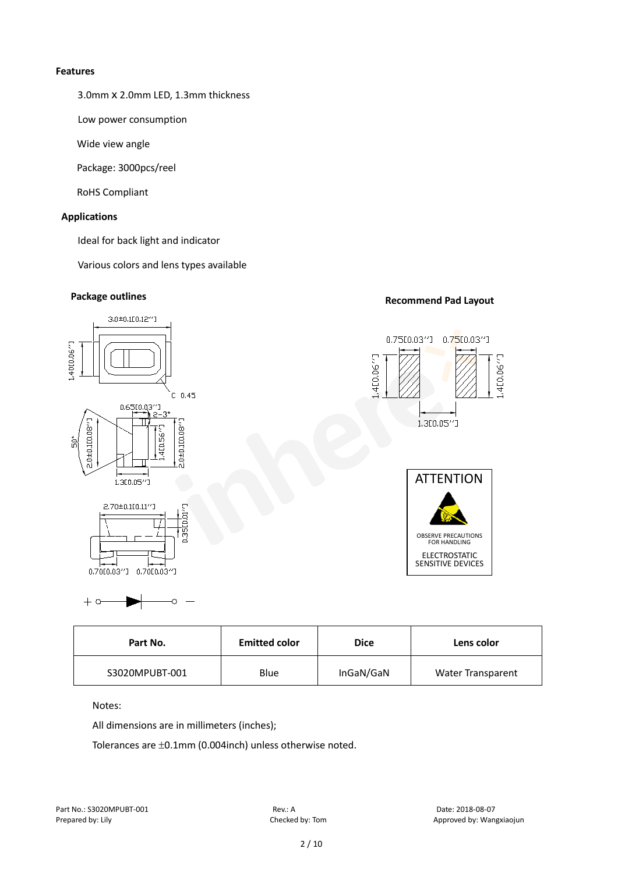#### **Features**

3.0mmⅹ2.0mm LED, 1.3mm thickness

Low power consumption

Wide view angle

Package: 3000pcs/reel

RoHS Compliant

### **Applications**

Ideal for back light and indicator

Various colors and lens types available

# **Package outlines Recommend Pad Layout**



| <b>Emitted color</b><br>Part No. |      | <b>Dice</b> | Lens color               |  |
|----------------------------------|------|-------------|--------------------------|--|
| S3020MPUBT-001                   | Blue | InGaN/GaN   | <b>Water Transparent</b> |  |

Notes:

 $+ \circ$ 

All dimensions are in millimeters (inches);

Ó

Tolerances are ±0.1mm (0.004inch) unless otherwise noted.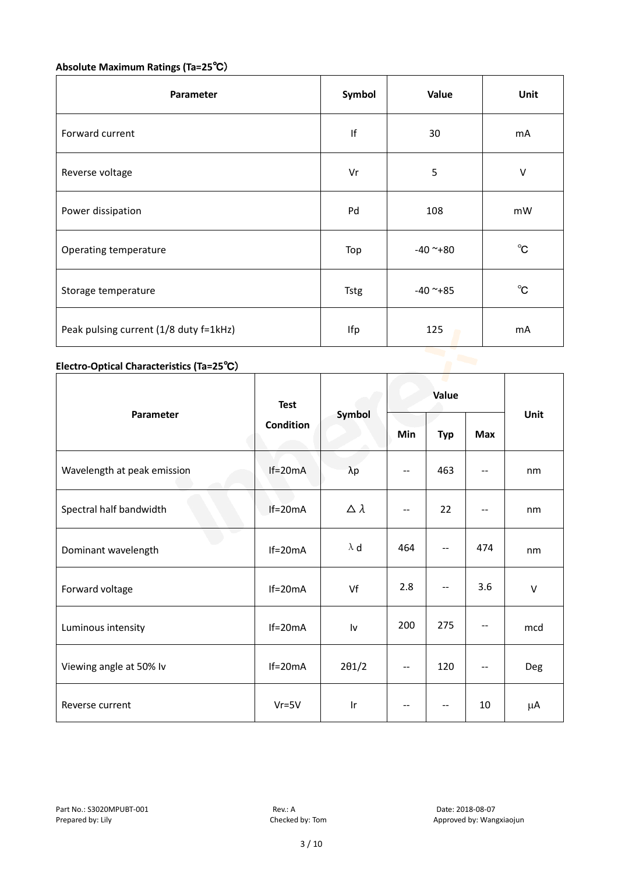# **Absolute Maximum Ratings (Ta=25**℃)

| <b>Parameter</b>                       | Symbol | Value      | Unit         |
|----------------------------------------|--------|------------|--------------|
| Forward current                        | If     | 30         | mA           |
| Reverse voltage                        | Vr     | 5          | $\vee$       |
| Power dissipation                      | Pd     | 108        | mW           |
| Operating temperature                  | Top    | $-40$ ~+80 | $^{\circ}$ C |
| Storage temperature                    | Tstg   | $-40$ ~+85 | $^{\circ}$ C |
| Peak pulsing current (1/8 duty f=1kHz) | Ifp    | 125        | mA           |

# **Electro-Optical Characteristics (Ta=25**℃)

|                             | <b>Test</b><br>Condition | Symbol           | Value                    |            |            |        |
|-----------------------------|--------------------------|------------------|--------------------------|------------|------------|--------|
| Parameter                   |                          |                  | Min                      | <b>Typ</b> | <b>Max</b> | Unit   |
| Wavelength at peak emission | $If=20mA$                | $\lambda p$      | $\overline{\phantom{a}}$ | 463        | --         | nm     |
| Spectral half bandwidth     | $If=20mA$                | $\Delta \lambda$ | --                       | 22         |            | nm     |
| Dominant wavelength         | $If=20mA$                | $\lambda$ d      | 464                      | --         | 474        | nm     |
| Forward voltage             | $If=20mA$                | Vf               | 2.8                      | $- -$      | 3.6        | $\vee$ |
| Luminous intensity          | $If=20mA$                | Iv               | 200                      | 275        |            | mcd    |
| Viewing angle at 50% lv     | $If=20mA$                | $2\theta$ 1/2    | $- -$                    | 120        | $-$        | Deg    |
| Reverse current             | $Vr = 5V$                | Ir               | $\overline{\phantom{a}}$ | --         | 10         | μA     |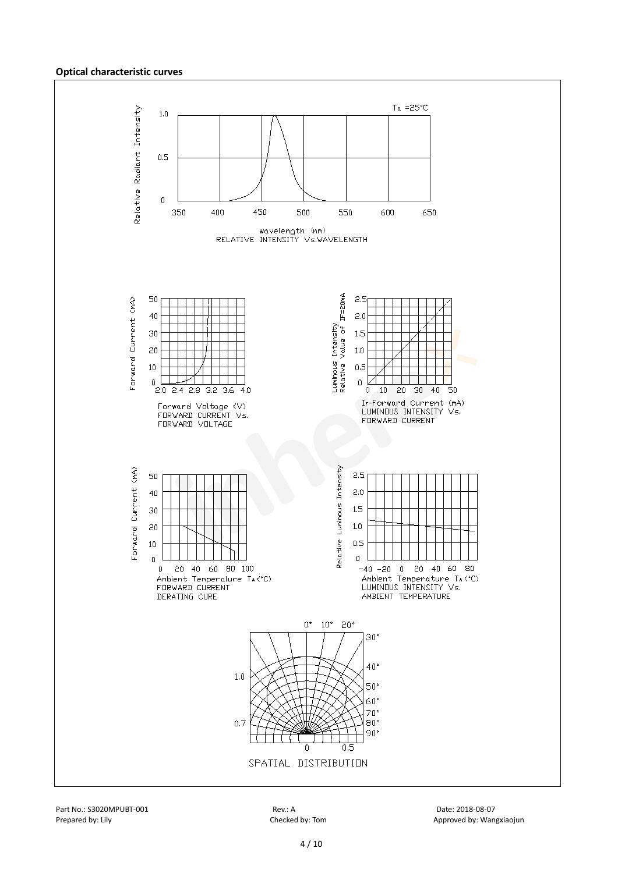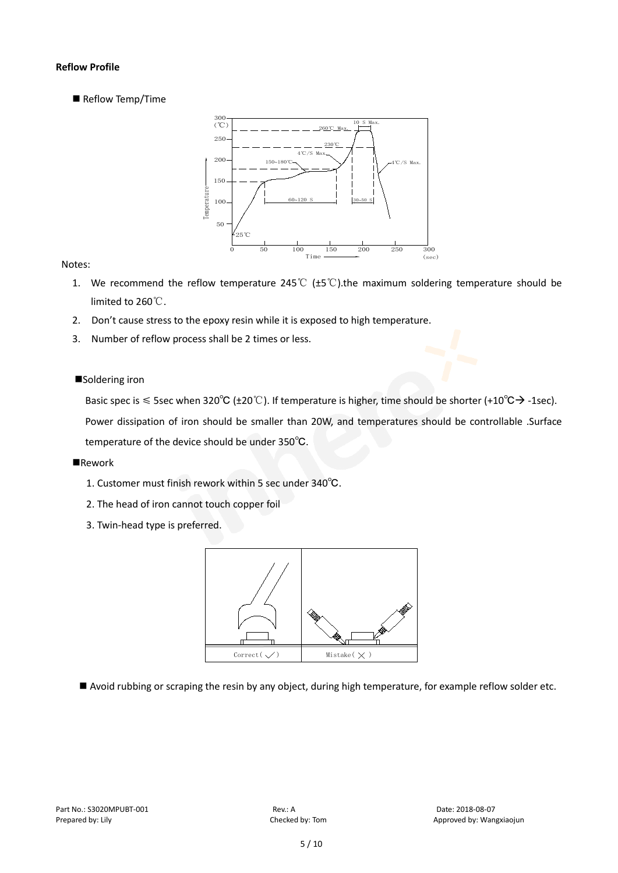#### **Reflow Profile**

Reflow Temp/Time



#### Notes:

- 1. We recommend the reflow temperature 245°C ( $\pm$ 5°C).the maximum soldering temperature should be limited to 260℃.
- 2. Don't cause stress to the epoxy resin while it is exposed to high temperature.
- 3. Number of reflow process shall be 2 times or less.

#### ■Soldering iron

Basic spec is  $\leq$  5sec when 320°C (±20°C). If temperature is higher, time should be shorter (+10°C $\rightarrow$ -1sec).

Power dissipation of iron should be smaller than 20W, and temperatures should be controllable .Surface temperature of the device should be under 350℃.

#### **Rework**

- 1. Customer must finish rework within 5 sec under 340℃.
- 2. The head of iron cannot touch copper foil
- 3. Twin-head type is preferred.



Avoid rubbing or scraping the resin by any object, during high temperature, for example reflow solder etc.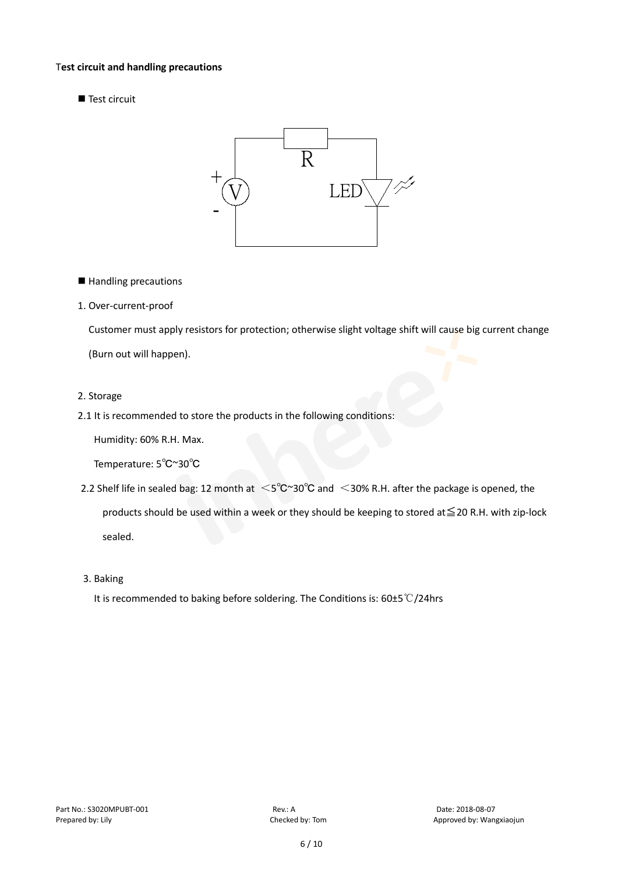#### T**est circuit and handling precautions**

Test circuit



- Handling precautions
- 1. Over-current-proof

Customer must apply resistors for protection; otherwise slight voltage shift will cause big current change

(Burn out will happen).

- 2. Storage
- 2.1 It is recommended to store the products in the following conditions:

Humidity: 60% R.H. Max.

Temperature: 5℃~30℃

- 2.2 Shelf life in sealed bag: 12 month at <5℃~30°C and <30% R.H. after the package is opened, the products should be used within a week or they should be keeping to stored at≦20 R.H. with zip-lock sealed.
- 3. Baking

It is recommended to baking before soldering. The Conditions is: 60±5℃/24hrs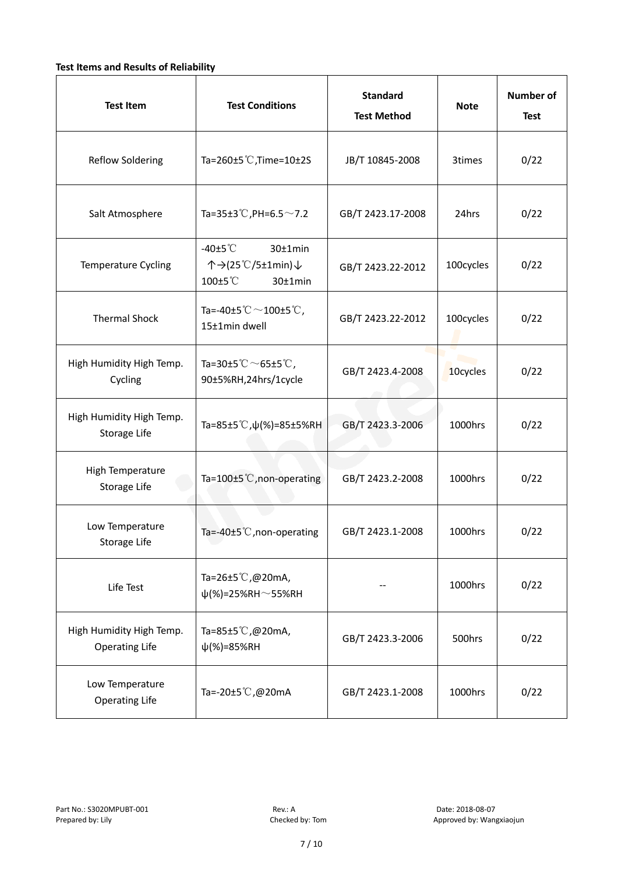#### **Test Items and Results of Reliability**

| <b>Test Item</b>                                  | <b>Standard</b><br><b>Test Conditions</b><br><b>Test Method</b>                |                                | <b>Note</b> | <b>Number of</b><br><b>Test</b> |
|---------------------------------------------------|--------------------------------------------------------------------------------|--------------------------------|-------------|---------------------------------|
| <b>Reflow Soldering</b>                           | Ta=260±5 °C, Time=10±2S                                                        | JB/T 10845-2008                | 3times      | 0/22                            |
| Salt Atmosphere                                   | Ta=35±3°C, PH=6.5 $\sim$ 7.2                                                   | GB/T 2423.17-2008              | 24hrs       | 0/22                            |
| Temperature Cycling                               | -40 $\pm$ 5 $\degree$ C<br>30±1min<br>个→(25℃/5±1min)↓<br>100±5°C<br>$30±1$ min | GB/T 2423.22-2012              | 100cycles   | 0/22                            |
| <b>Thermal Shock</b>                              | Ta=-40±5 $^\circ\text{C}$ $\sim$ 100±5 $^\circ\text{C}$ ,<br>15±1min dwell     | GB/T 2423.22-2012<br>100cycles |             | 0/22                            |
| High Humidity High Temp.<br>Cycling               | Ta=30±5 °C $\sim$ 65±5 °C,<br>GB/T 2423.4-2008<br>90±5%RH,24hrs/1cycle         |                                | 10cycles    | 0/22                            |
| High Humidity High Temp.<br>Storage Life          | Ta=85±5 °C, $\psi$ (%)=85±5%RH                                                 | GB/T 2423.3-2006               | 1000hrs     | 0/22                            |
| High Temperature<br>Storage Life                  | Ta=100±5°C, non-operating                                                      | GB/T 2423.2-2008               | 1000hrs     | 0/22                            |
| Low Temperature<br>Storage Life                   | Ta=-40±5 $°C$ , non-operating                                                  | GB/T 2423.1-2008               | 1000hrs     | 0/22                            |
| Life Test                                         | Ta=26±5℃,@20mA,<br>$\psi$ (%)=25%RH~55%RH                                      |                                | 1000hrs     | 0/22                            |
| High Humidity High Temp.<br><b>Operating Life</b> | Ta=85±5℃,@20mA,<br>$\psi$ (%)=85%RH                                            | GB/T 2423.3-2006               | 500hrs      | 0/22                            |
| Low Temperature<br><b>Operating Life</b>          | Ta=-20±5℃,@20mA                                                                | GB/T 2423.1-2008               | 1000hrs     | 0/22                            |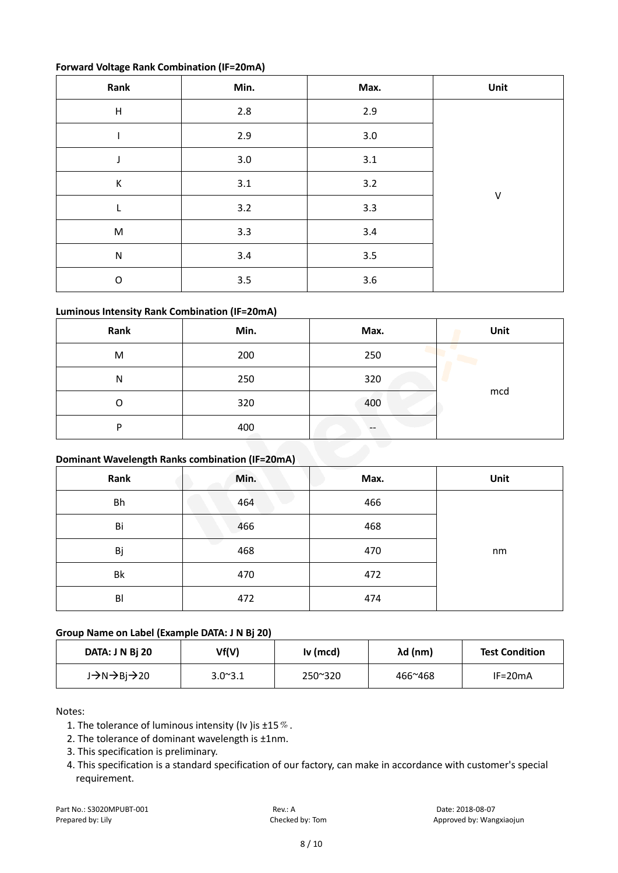#### **Forward Voltage Rank Combination (IF=20mA)**

| Rank                      | Min.    | Max.    | Unit   |
|---------------------------|---------|---------|--------|
| $\boldsymbol{\mathsf{H}}$ | $2.8\,$ | 2.9     |        |
|                           | 2.9     | $3.0\,$ |        |
| J                         | 3.0     | 3.1     |        |
| К                         | 3.1     | 3.2     |        |
| L                         | 3.2     | 3.3     | $\vee$ |
| ${\sf M}$                 | 3.3     | $3.4$   |        |
| ${\sf N}$                 | $3.4$   | 3.5     |        |
| $\mathsf O$               | 3.5     | $3.6\,$ |        |

### **Luminous Intensity Rank Combination (IF=20mA)**

| Rank | Min. | Max. | Unit |
|------|------|------|------|
| M    | 200  | 250  |      |
| N    | 250  | 320  |      |
| O    | 320  | 400  | mcd  |
| D    | 400  | --   |      |

#### **Dominant Wavelength Ranks combination (IF=20mA)**

| Rank      | Min. | Max. | Unit |
|-----------|------|------|------|
| <b>Bh</b> | 464  | 466  |      |
| Bi        | 466  | 468  |      |
| Вj        | 468  | 470  | nm   |
| Bk        | 470  | 472  |      |
| BI        | 472  | 474  |      |

#### **Group Name on Label (Example DATA: J N Bj 20)**

| DATA: J N Bi 20 | Vf(V)           | Iv (mcd) | λd (nm) | <b>Test Condition</b> |
|-----------------|-----------------|----------|---------|-----------------------|
| J→N→Bj→20       | $3.0^{\sim}3.1$ | 250~320  | 466~468 | $IF = 20mA$           |

Notes:

- 1. The tolerance of luminous intensity (Iv ) is  $\pm 15\%$ .
- 2. The tolerance of dominant wavelength is ±1nm.
- 3. This specification is preliminary.
- 4. This specification is a standard specification of our factory, can make in accordance with customer's special requirement.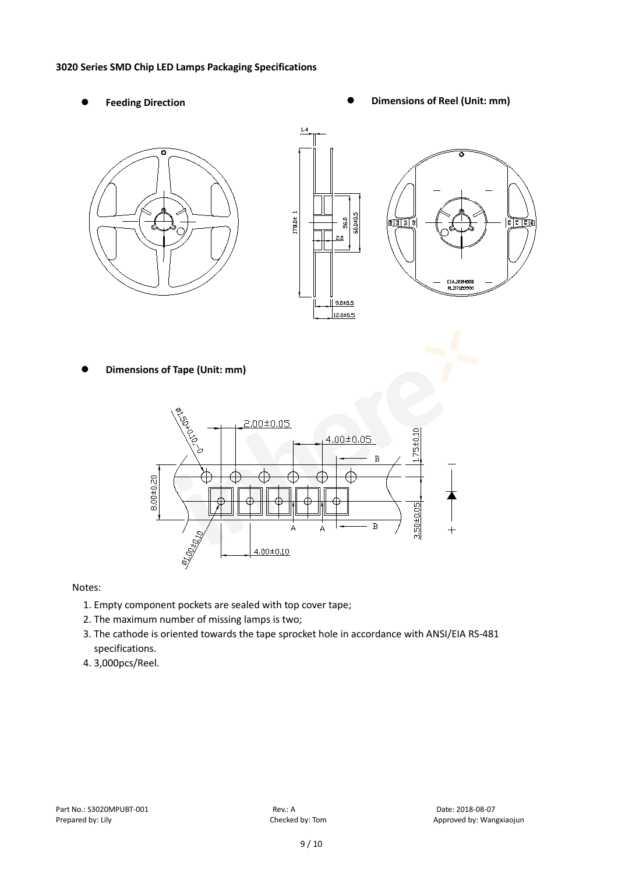#### **3020 Series SMD Chip LED Lamps Packaging Specifications**

- 
- Feeding Direction **Constanting Construction Constanting Operations Construction Constanting Construction Constanting Construction**





**Dimensions of Tape (Unit: mm)**



Notes:

- 1. Empty component pockets are sealed with top cover tape;
- 2. The maximum number of missing lamps is two;
- 3. The cathode is oriented towards the tape sprocket hole in accordance with ANSI/EIA RS-481 specifications.
- 4. 3,000pcs/Reel.